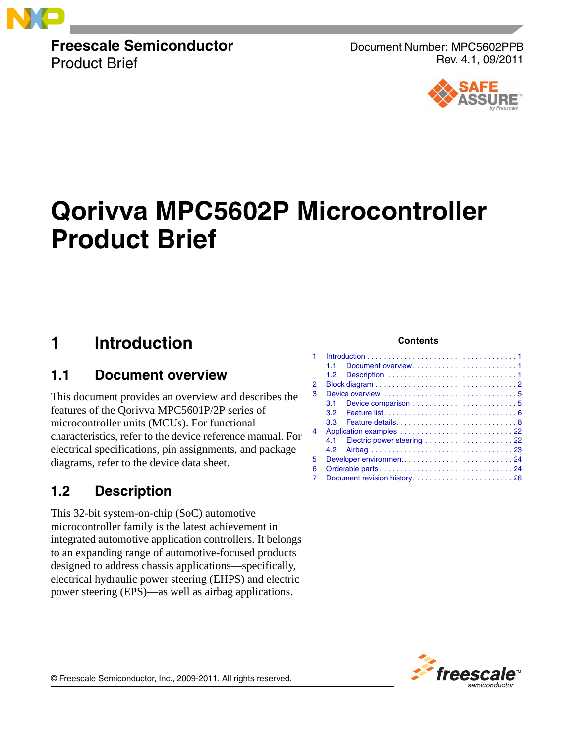

**Freescale Semiconductor** Product Brief

Document Number: MPC5602PPB Rev. 4.1, 09/2011



# **Qorivva MPC5602P Microcontroller Product Brief**

## <span id="page-0-0"></span>**1 Introduction**

### <span id="page-0-1"></span>**1.1 Document overview**

This document provides an overview and describes the features of the Qorivva MPC5601P/2P series of microcontroller units (MCUs). For functional characteristics, refer to the device reference manual. For electrical specifications, pin assignments, and package diagrams, refer to the device data sheet.

### <span id="page-0-2"></span>**1.2 Description**

This 32-bit system-on-chip (SoC) automotive microcontroller family is the latest achievement in integrated automotive application controllers. It belongs to an expanding range of automotive-focused products designed to address chassis applications—specifically, electrical hydraulic power steering (EHPS) and electric power steering (EPS)—as well as airbag applications.

#### **Contents**

| 1 |                  |                              |  |
|---|------------------|------------------------------|--|
|   | 11               |                              |  |
|   | 1.2 <sub>1</sub> |                              |  |
| 2 |                  |                              |  |
| 3 |                  |                              |  |
|   | 3.1              |                              |  |
|   | 3.2              |                              |  |
|   | 3.3              |                              |  |
| 4 |                  |                              |  |
|   |                  |                              |  |
|   | 4.2              |                              |  |
| 5 |                  |                              |  |
| 6 |                  |                              |  |
| 7 |                  | Document revision history 26 |  |



© Freescale Semiconductor, Inc., 2009-2011. All rights reserved.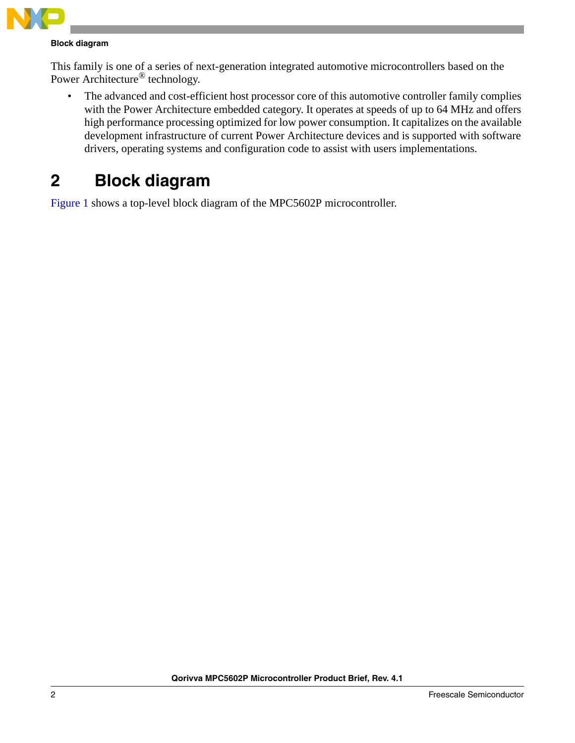

#### **Block diagram**

This family is one of a series of next-generation integrated automotive microcontrollers based on the Power Architecture® technology.

• The advanced and cost-efficient host processor core of this automotive controller family complies with the Power Architecture embedded category. It operates at speeds of up to 64 MHz and offers high performance processing optimized for low power consumption. It capitalizes on the available development infrastructure of current Power Architecture devices and is supported with software drivers, operating systems and configuration code to assist with users implementations.

## <span id="page-1-0"></span>**2 Block diagram**

[Figure 1](#page-2-0) shows a top-level block diagram of the MPC5602P microcontroller.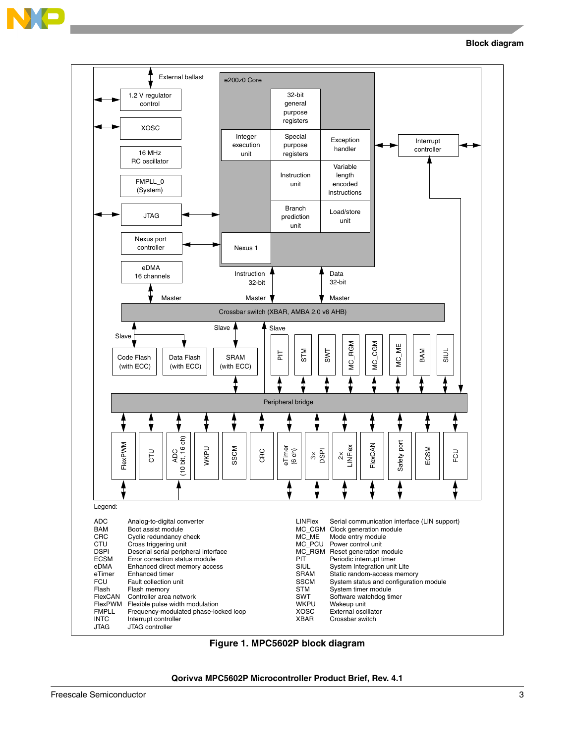

**Block diagram**



<span id="page-2-0"></span>**Figure 1. MPC5602P block diagram**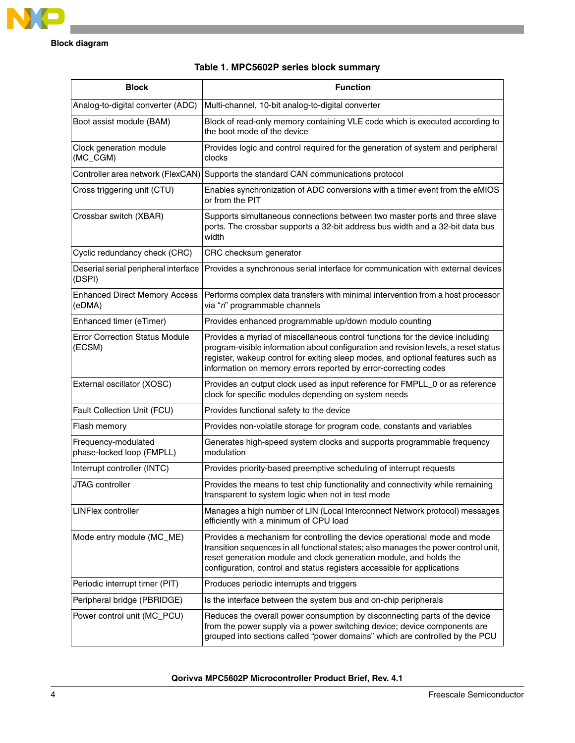

| <b>Block</b>                                     | <b>Function</b>                                                                                                                                                                                                                                                                                                            |
|--------------------------------------------------|----------------------------------------------------------------------------------------------------------------------------------------------------------------------------------------------------------------------------------------------------------------------------------------------------------------------------|
| Analog-to-digital converter (ADC)                | Multi-channel, 10-bit analog-to-digital converter                                                                                                                                                                                                                                                                          |
| Boot assist module (BAM)                         | Block of read-only memory containing VLE code which is executed according to<br>the boot mode of the device                                                                                                                                                                                                                |
| Clock generation module<br>(MC_CGM)              | Provides logic and control required for the generation of system and peripheral<br>clocks                                                                                                                                                                                                                                  |
| Controller area network (FlexCAN)                | Supports the standard CAN communications protocol                                                                                                                                                                                                                                                                          |
| Cross triggering unit (CTU)                      | Enables synchronization of ADC conversions with a timer event from the eMIOS<br>or from the PIT                                                                                                                                                                                                                            |
| Crossbar switch (XBAR)                           | Supports simultaneous connections between two master ports and three slave<br>ports. The crossbar supports a 32-bit address bus width and a 32-bit data bus<br>width                                                                                                                                                       |
| Cyclic redundancy check (CRC)                    | CRC checksum generator                                                                                                                                                                                                                                                                                                     |
| Deserial serial peripheral interface<br>(DSPI)   | Provides a synchronous serial interface for communication with external devices                                                                                                                                                                                                                                            |
| <b>Enhanced Direct Memory Access</b><br>(eDMA)   | Performs complex data transfers with minimal intervention from a host processor<br>via "n" programmable channels                                                                                                                                                                                                           |
| Enhanced timer (eTimer)                          | Provides enhanced programmable up/down modulo counting                                                                                                                                                                                                                                                                     |
| <b>Error Correction Status Module</b><br>(ECSM)  | Provides a myriad of miscellaneous control functions for the device including<br>program-visible information about configuration and revision levels, a reset status<br>register, wakeup control for exiting sleep modes, and optional features such as<br>information on memory errors reported by error-correcting codes |
| External oscillator (XOSC)                       | Provides an output clock used as input reference for FMPLL_0 or as reference<br>clock for specific modules depending on system needs                                                                                                                                                                                       |
| Fault Collection Unit (FCU)                      | Provides functional safety to the device                                                                                                                                                                                                                                                                                   |
| Flash memory                                     | Provides non-volatile storage for program code, constants and variables                                                                                                                                                                                                                                                    |
| Frequency-modulated<br>phase-locked loop (FMPLL) | Generates high-speed system clocks and supports programmable frequency<br>modulation                                                                                                                                                                                                                                       |
| Interrupt controller (INTC)                      | Provides priority-based preemptive scheduling of interrupt requests                                                                                                                                                                                                                                                        |
| JTAG controller                                  | Provides the means to test chip functionality and connectivity while remaining<br>transparent to system logic when not in test mode                                                                                                                                                                                        |
| <b>LINFlex controller</b>                        | Manages a high number of LIN (Local Interconnect Network protocol) messages<br>efficiently with a minimum of CPU load                                                                                                                                                                                                      |
| Mode entry module (MC_ME)                        | Provides a mechanism for controlling the device operational mode and mode<br>transition sequences in all functional states; also manages the power control unit,<br>reset generation module and clock generation module, and holds the<br>configuration, control and status registers accessible for applications          |
| Periodic interrupt timer (PIT)                   | Produces periodic interrupts and triggers                                                                                                                                                                                                                                                                                  |
| Peripheral bridge (PBRIDGE)                      | Is the interface between the system bus and on-chip peripherals                                                                                                                                                                                                                                                            |
| Power control unit (MC_PCU)                      | Reduces the overall power consumption by disconnecting parts of the device<br>from the power supply via a power switching device; device components are<br>grouped into sections called "power domains" which are controlled by the PCU                                                                                    |

#### **Table 1. MPC5602P series block summary**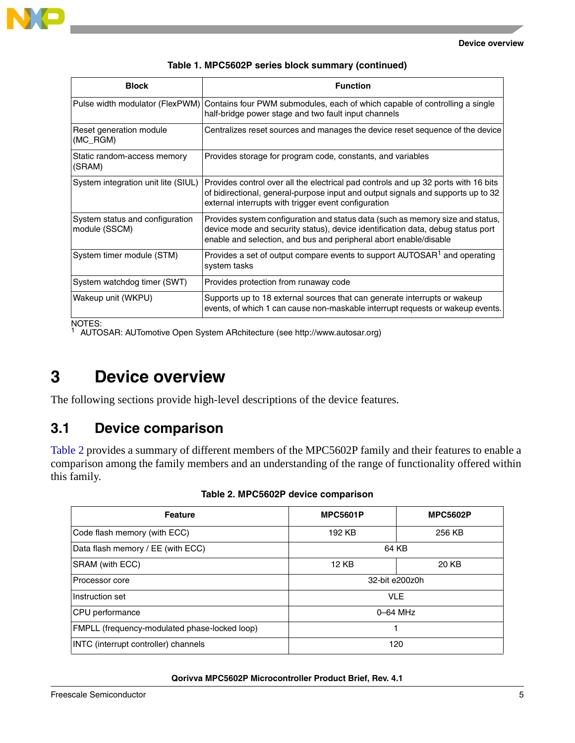

| <b>Block</b>                                     | <b>Function</b>                                                                                                                                                                                                                        |
|--------------------------------------------------|----------------------------------------------------------------------------------------------------------------------------------------------------------------------------------------------------------------------------------------|
| Pulse width modulator (FlexPWM)                  | Contains four PWM submodules, each of which capable of controlling a single<br>half-bridge power stage and two fault input channels                                                                                                    |
| Reset generation module<br>(MC_RGM)              | Centralizes reset sources and manages the device reset sequence of the device                                                                                                                                                          |
| Static random-access memory<br>(SRAM)            | Provides storage for program code, constants, and variables                                                                                                                                                                            |
| System integration unit lite (SIUL)              | Provides control over all the electrical pad controls and up 32 ports with 16 bits<br>of bidirectional, general-purpose input and output signals and supports up to 32<br>external interrupts with trigger event configuration         |
| System status and configuration<br>module (SSCM) | Provides system configuration and status data (such as memory size and status,<br>device mode and security status), device identification data, debug status port<br>enable and selection, and bus and peripheral abort enable/disable |
| System timer module (STM)                        | Provides a set of output compare events to support AUTOSAR <sup>1</sup> and operating<br>system tasks                                                                                                                                  |
| System watchdog timer (SWT)                      | Provides protection from runaway code                                                                                                                                                                                                  |
| Wakeup unit (WKPU)                               | Supports up to 18 external sources that can generate interrupts or wakeup<br>events, of which 1 can cause non-maskable interrupt requests or wakeup events.                                                                            |

| Table 1. MPC5602P series block summary (continued) |  |  |  |  |  |  |
|----------------------------------------------------|--|--|--|--|--|--|
|----------------------------------------------------|--|--|--|--|--|--|

NOTES: <sup>1</sup> AUTOSAR: AUTomotive Open System ARchitecture (see http://www.autosar.org)

## <span id="page-4-0"></span>**3 Device overview**

The following sections provide high-level descriptions of the device features.

### <span id="page-4-1"></span>**3.1 Device comparison**

[Table 2](#page-4-2) provides a summary of different members of the MPC5602P family and their features to enable a comparison among the family members and an understanding of the range of functionality offered within this family.

<span id="page-4-2"></span>

| <b>Feature</b>                                | <b>MPC5601P</b> | <b>MPC5602P</b> |  |
|-----------------------------------------------|-----------------|-----------------|--|
| Code flash memory (with ECC)                  | 192 KB          | 256 KB          |  |
| Data flash memory / EE (with ECC)             |                 | 64 KB           |  |
| SRAM (with ECC)                               | 12 KB           | 20 KB           |  |
| Processor core                                |                 | 32-bit e200z0h  |  |
| Instruction set<br><b>VLE</b>                 |                 |                 |  |
| CPU performance                               |                 | $0-64$ MHz      |  |
| FMPLL (frequency-modulated phase-locked loop) | 1               |                 |  |
| INTC (interrupt controller) channels          | 120             |                 |  |

|  |  |  |  | Table 2. MPC5602P device comparison |
|--|--|--|--|-------------------------------------|
|--|--|--|--|-------------------------------------|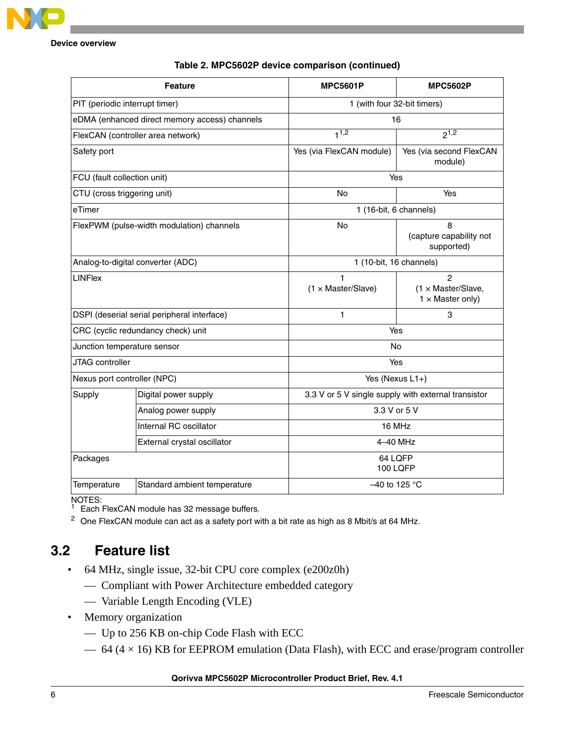|                                                                | <b>Feature</b>                                | <b>MPC5601P</b>                                     | <b>MPC5602P</b>                                                        |  |  |
|----------------------------------------------------------------|-----------------------------------------------|-----------------------------------------------------|------------------------------------------------------------------------|--|--|
| PIT (periodic interrupt timer)                                 |                                               |                                                     | 1 (with four 32-bit timers)                                            |  |  |
|                                                                | eDMA (enhanced direct memory access) channels |                                                     | 16                                                                     |  |  |
|                                                                | FlexCAN (controller area network)             | $1^{1,2}$                                           | $2^{1,2}$                                                              |  |  |
| Safety port                                                    |                                               | Yes (via FlexCAN module)                            | Yes (via second FlexCAN<br>module)                                     |  |  |
| FCU (fault collection unit)                                    |                                               |                                                     | Yes                                                                    |  |  |
| CTU (cross triggering unit)                                    |                                               | <b>No</b>                                           | Yes                                                                    |  |  |
| eTimer                                                         |                                               |                                                     | 1 (16-bit, 6 channels)                                                 |  |  |
|                                                                | FlexPWM (pulse-width modulation) channels     | <b>No</b>                                           | 8<br>(capture capability not<br>supported)                             |  |  |
|                                                                | Analog-to-digital converter (ADC)             |                                                     | 1 (10-bit, 16 channels)                                                |  |  |
| <b>LINFlex</b>                                                 |                                               | 1<br>$(1 \times Master/Slave)$                      | $\overline{c}$<br>$(1 \times$ Master/Slave,<br>$1 \times$ Master only) |  |  |
|                                                                | DSPI (deserial serial peripheral interface)   | 1                                                   | 3                                                                      |  |  |
|                                                                | CRC (cyclic redundancy check) unit            | Yes                                                 |                                                                        |  |  |
| Junction temperature sensor                                    |                                               | No                                                  |                                                                        |  |  |
| JTAG controller                                                |                                               | Yes                                                 |                                                                        |  |  |
| Nexus port controller (NPC)                                    |                                               | Yes (Nexus L1+)                                     |                                                                        |  |  |
| Supply                                                         | Digital power supply                          | 3.3 V or 5 V single supply with external transistor |                                                                        |  |  |
|                                                                | Analog power supply                           | 3.3 V or 5 V                                        |                                                                        |  |  |
|                                                                | Internal RC oscillator                        |                                                     | 16 MHz                                                                 |  |  |
|                                                                | External crystal oscillator                   | 4-40 MHz                                            |                                                                        |  |  |
| Packages                                                       |                                               |                                                     | 64 LQFP<br><b>100 LQFP</b>                                             |  |  |
| $-40$ to 125 °C<br>Temperature<br>Standard ambient temperature |                                               |                                                     |                                                                        |  |  |

#### **Table 2. MPC5602P device comparison (continued)**

NOTES:

<span id="page-5-2"></span><sup>1</sup> Each FlexCAN module has 32 message buffers.

<span id="page-5-1"></span><sup>2</sup> One FlexCAN module can act as a safety port with a bit rate as high as 8 Mbit/s at 64 MHz.

### <span id="page-5-0"></span>**3.2 Feature list**

- 64 MHz, single issue, 32-bit CPU core complex (e200z0h)
	- Compliant with Power Architecture embedded category
	- Variable Length Encoding (VLE)
- Memory organization
	- Up to 256 KB on-chip Code Flash with ECC
	- $-64$  (4  $\times$  16) KB for EEPROM emulation (Data Flash), with ECC and erase/program controller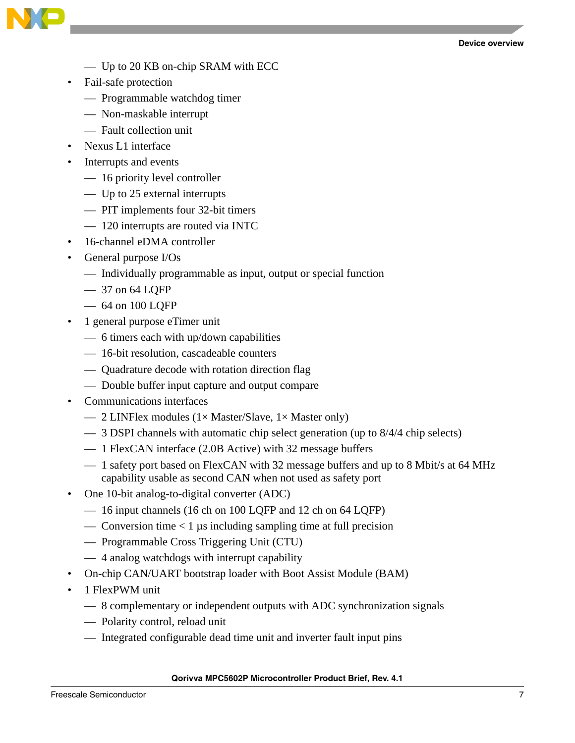



- Up to 20 KB on-chip SRAM with ECC
- Fail-safe protection
	- Programmable watchdog timer
	- Non-maskable interrupt
	- Fault collection unit
- Nexus L1 interface
- Interrupts and events
	- 16 priority level controller
	- Up to 25 external interrupts
	- PIT implements four 32-bit timers
	- 120 interrupts are routed via INTC
- 16-channel eDMA controller
- General purpose I/Os
	- Individually programmable as input, output or special function
	- 37 on 64 LQFP
	- 64 on 100 LQFP
- 1 general purpose eTimer unit
	- 6 timers each with up/down capabilities
	- 16-bit resolution, cascadeable counters
	- Quadrature decode with rotation direction flag
	- Double buffer input capture and output compare
- Communications interfaces
	- 2 LINFlex modules ( $1 \times$  Master/Slave,  $1 \times$  Master only)
	- 3 DSPI channels with automatic chip select generation (up to 8/4/4 chip selects)
	- 1 FlexCAN interface (2.0B Active) with 32 message buffers
	- 1 safety port based on FlexCAN with 32 message buffers and up to 8 Mbit/s at 64 MHz capability usable as second CAN when not used as safety port
- One 10-bit analog-to-digital converter (ADC)
	- 16 input channels (16 ch on 100 LQFP and 12 ch on 64 LQFP)
	- Conversion time  $< 1 \mu s$  including sampling time at full precision
	- Programmable Cross Triggering Unit (CTU)
	- 4 analog watchdogs with interrupt capability
- On-chip CAN/UART bootstrap loader with Boot Assist Module (BAM)
- 1 FlexPWM unit
	- 8 complementary or independent outputs with ADC synchronization signals
	- Polarity control, reload unit
	- Integrated configurable dead time unit and inverter fault input pins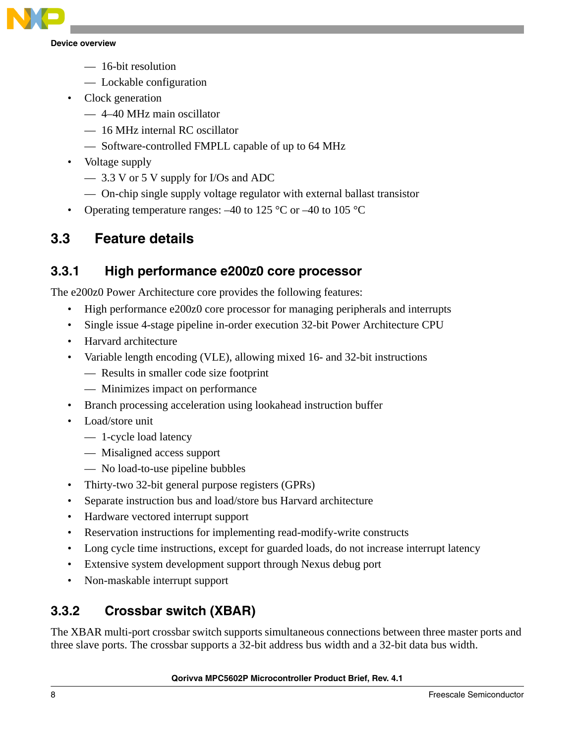

- 16-bit resolution
- Lockable configuration
- Clock generation
	- 4–40 MHz main oscillator
	- 16 MHz internal RC oscillator
	- Software-controlled FMPLL capable of up to 64 MHz
- Voltage supply
	- 3.3 V or 5 V supply for I/Os and ADC
	- On-chip single supply voltage regulator with external ballast transistor
- Operating temperature ranges:  $-40$  to 125 °C or  $-40$  to 105 °C

### <span id="page-7-0"></span>**3.3 Feature details**

#### **3.3.1 High performance e200z0 core processor**

The e200z0 Power Architecture core provides the following features:

- High performance e200z0 core processor for managing peripherals and interrupts
- Single issue 4-stage pipeline in-order execution 32-bit Power Architecture CPU
- Harvard architecture
- Variable length encoding (VLE), allowing mixed 16- and 32-bit instructions
	- Results in smaller code size footprint
	- Minimizes impact on performance
- Branch processing acceleration using lookahead instruction buffer
- Load/store unit
	- 1-cycle load latency
	- Misaligned access support
	- No load-to-use pipeline bubbles
- Thirty-two 32-bit general purpose registers (GPRs)
- Separate instruction bus and load/store bus Harvard architecture
- Hardware vectored interrupt support
- Reservation instructions for implementing read-modify-write constructs
- Long cycle time instructions, except for guarded loads, do not increase interrupt latency
- Extensive system development support through Nexus debug port
- Non-maskable interrupt support

### **3.3.2 Crossbar switch (XBAR)**

The XBAR multi-port crossbar switch supports simultaneous connections between three master ports and three slave ports. The crossbar supports a 32-bit address bus width and a 32-bit data bus width.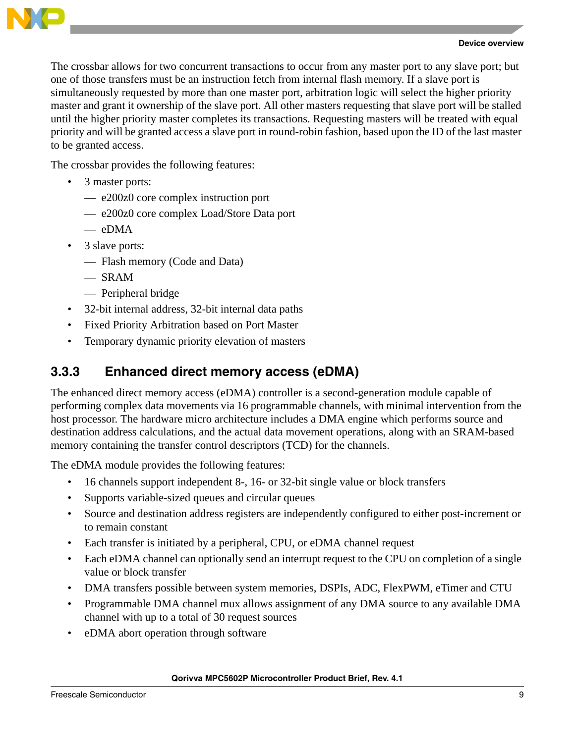

The crossbar allows for two concurrent transactions to occur from any master port to any slave port; but one of those transfers must be an instruction fetch from internal flash memory. If a slave port is simultaneously requested by more than one master port, arbitration logic will select the higher priority master and grant it ownership of the slave port. All other masters requesting that slave port will be stalled until the higher priority master completes its transactions. Requesting masters will be treated with equal priority and will be granted access a slave port in round-robin fashion, based upon the ID of the last master to be granted access.

The crossbar provides the following features:

- 3 master ports:
	- e200z0 core complex instruction port
	- e200z0 core complex Load/Store Data port
	- eDMA
- 3 slave ports:
	- Flash memory (Code and Data)
	- SRAM
	- Peripheral bridge
- 32-bit internal address, 32-bit internal data paths
- Fixed Priority Arbitration based on Port Master
- Temporary dynamic priority elevation of masters

#### **3.3.3 Enhanced direct memory access (eDMA)**

The enhanced direct memory access (eDMA) controller is a second-generation module capable of performing complex data movements via 16 programmable channels, with minimal intervention from the host processor. The hardware micro architecture includes a DMA engine which performs source and destination address calculations, and the actual data movement operations, along with an SRAM-based memory containing the transfer control descriptors (TCD) for the channels.

The eDMA module provides the following features:

- 16 channels support independent 8-, 16- or 32-bit single value or block transfers
- Supports variable-sized queues and circular queues
- Source and destination address registers are independently configured to either post-increment or to remain constant
- Each transfer is initiated by a peripheral, CPU, or eDMA channel request
- Each eDMA channel can optionally send an interrupt request to the CPU on completion of a single value or block transfer
- DMA transfers possible between system memories, DSPIs, ADC, FlexPWM, eTimer and CTU
- Programmable DMA channel mux allows assignment of any DMA source to any available DMA channel with up to a total of 30 request sources
- eDMA abort operation through software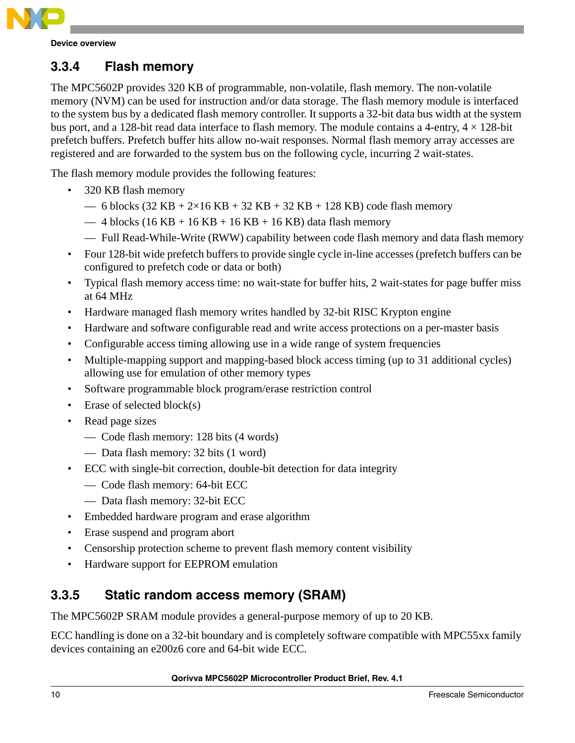

### **3.3.4 Flash memory**

The MPC5602P provides 320 KB of programmable, non-volatile, flash memory. The non-volatile memory (NVM) can be used for instruction and/or data storage. The flash memory module is interfaced to the system bus by a dedicated flash memory controller. It supports a 32-bit data bus width at the system bus port, and a 128-bit read data interface to flash memory. The module contains a 4-entry,  $4 \times 128$ -bit prefetch buffers. Prefetch buffer hits allow no-wait responses. Normal flash memory array accesses are registered and are forwarded to the system bus on the following cycle, incurring 2 wait-states.

The flash memory module provides the following features:

- 320 KB flash memory
	- $-6$  blocks (32 KB + 2×16 KB + 32 KB + 32 KB + 128 KB) code flash memory
	- $-4$  blocks (16 KB + 16 KB + 16 KB + 16 KB) data flash memory
	- Full Read-While-Write (RWW) capability between code flash memory and data flash memory
- Four 128-bit wide prefetch buffers to provide single cycle in-line accesses (prefetch buffers can be configured to prefetch code or data or both)
- Typical flash memory access time: no wait-state for buffer hits, 2 wait-states for page buffer miss at 64 MHz
- Hardware managed flash memory writes handled by 32-bit RISC Krypton engine
- Hardware and software configurable read and write access protections on a per-master basis
- Configurable access timing allowing use in a wide range of system frequencies
- Multiple-mapping support and mapping-based block access timing (up to 31 additional cycles) allowing use for emulation of other memory types
- Software programmable block program/erase restriction control
- Erase of selected block $(s)$
- Read page sizes
	- Code flash memory: 128 bits (4 words)
	- Data flash memory: 32 bits (1 word)
- ECC with single-bit correction, double-bit detection for data integrity
	- Code flash memory: 64-bit ECC
	- Data flash memory: 32-bit ECC
- Embedded hardware program and erase algorithm
- Erase suspend and program abort
- Censorship protection scheme to prevent flash memory content visibility
- Hardware support for EEPROM emulation

#### **3.3.5 Static random access memory (SRAM)**

The MPC5602P SRAM module provides a general-purpose memory of up to 20 KB.

ECC handling is done on a 32-bit boundary and is completely software compatible with MPC55xx family devices containing an e200z6 core and 64-bit wide ECC.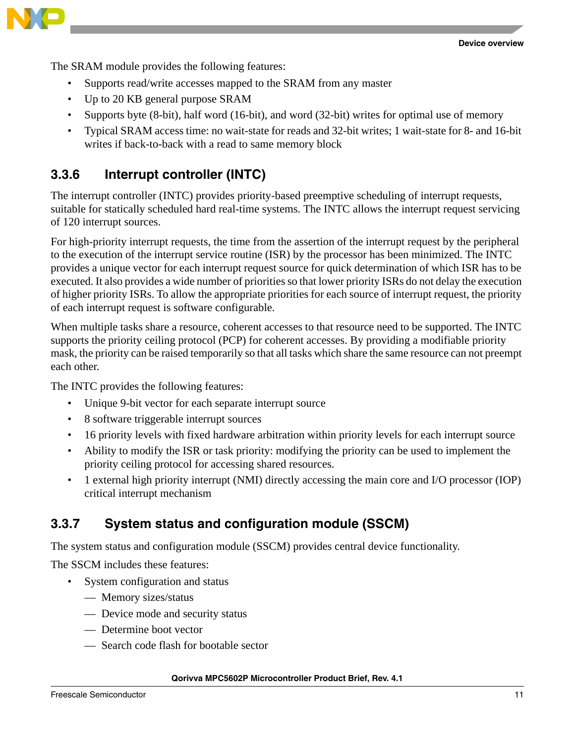

The SRAM module provides the following features:

- Supports read/write accesses mapped to the SRAM from any master
- Up to 20 KB general purpose SRAM
- Supports byte (8-bit), half word (16-bit), and word (32-bit) writes for optimal use of memory
- Typical SRAM access time: no wait-state for reads and 32-bit writes; 1 wait-state for 8- and 16-bit writes if back-to-back with a read to same memory block

#### **3.3.6 Interrupt controller (INTC)**

The interrupt controller (INTC) provides priority-based preemptive scheduling of interrupt requests, suitable for statically scheduled hard real-time systems. The INTC allows the interrupt request servicing of 120 interrupt sources.

For high-priority interrupt requests, the time from the assertion of the interrupt request by the peripheral to the execution of the interrupt service routine (ISR) by the processor has been minimized. The INTC provides a unique vector for each interrupt request source for quick determination of which ISR has to be executed. It also provides a wide number of priorities so that lower priority ISRs do not delay the execution of higher priority ISRs. To allow the appropriate priorities for each source of interrupt request, the priority of each interrupt request is software configurable.

When multiple tasks share a resource, coherent accesses to that resource need to be supported. The INTC supports the priority ceiling protocol (PCP) for coherent accesses. By providing a modifiable priority mask, the priority can be raised temporarily so that all tasks which share the same resource can not preempt each other.

The INTC provides the following features:

- Unique 9-bit vector for each separate interrupt source
- 8 software triggerable interrupt sources
- 16 priority levels with fixed hardware arbitration within priority levels for each interrupt source
- Ability to modify the ISR or task priority: modifying the priority can be used to implement the priority ceiling protocol for accessing shared resources.
- 1 external high priority interrupt (NMI) directly accessing the main core and I/O processor (IOP) critical interrupt mechanism

#### **3.3.7 System status and configuration module (SSCM)**

The system status and configuration module (SSCM) provides central device functionality.

The SSCM includes these features:

- System configuration and status
	- Memory sizes/status
	- Device mode and security status
	- Determine boot vector
	- Search code flash for bootable sector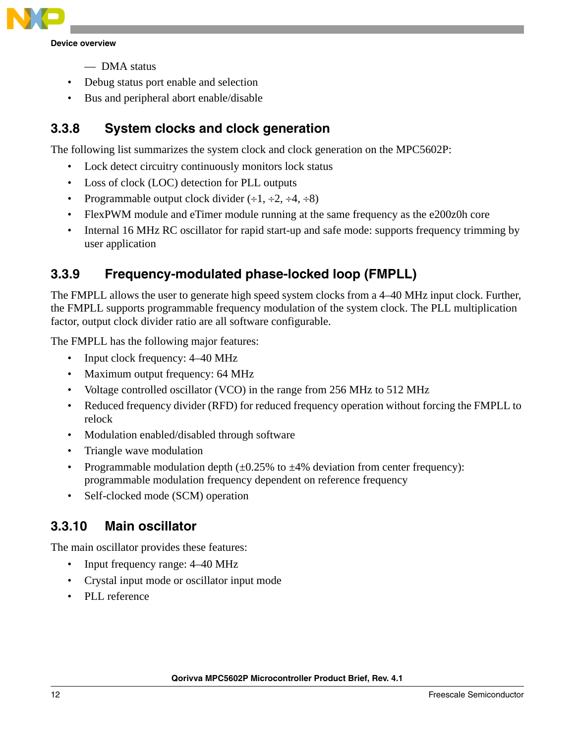

- DMA status
- Debug status port enable and selection
- Bus and peripheral abort enable/disable

### **3.3.8 System clocks and clock generation**

The following list summarizes the system clock and clock generation on the MPC5602P:

- Lock detect circuitry continuously monitors lock status
- Loss of clock (LOC) detection for PLL outputs
- Programmable output clock divider  $(\div 1, \div 2, \div 4, \div 8)$
- FlexPWM module and eTimer module running at the same frequency as the e200z0h core
- Internal 16 MHz RC oscillator for rapid start-up and safe mode: supports frequency trimming by user application

### **3.3.9 Frequency-modulated phase-locked loop (FMPLL)**

The FMPLL allows the user to generate high speed system clocks from a 4–40 MHz input clock. Further, the FMPLL supports programmable frequency modulation of the system clock. The PLL multiplication factor, output clock divider ratio are all software configurable.

The FMPLL has the following major features:

- Input clock frequency:  $4-40$  MHz
- Maximum output frequency: 64 MHz
- Voltage controlled oscillator (VCO) in the range from 256 MHz to 512 MHz
- Reduced frequency divider (RFD) for reduced frequency operation without forcing the FMPLL to relock
- Modulation enabled/disabled through software
- Triangle wave modulation
- Programmable modulation depth  $(\pm 0.25\%$  to  $\pm 4\%$  deviation from center frequency): programmable modulation frequency dependent on reference frequency
- Self-clocked mode (SCM) operation

#### **3.3.10 Main oscillator**

The main oscillator provides these features:

- Input frequency range: 4–40 MHz
- Crystal input mode or oscillator input mode
- PLL reference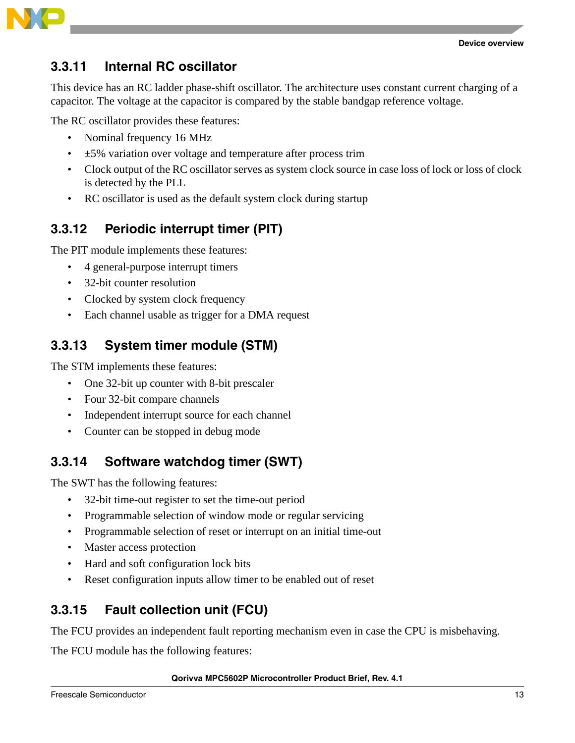



#### **3.3.11 Internal RC oscillator**

This device has an RC ladder phase-shift oscillator. The architecture uses constant current charging of a capacitor. The voltage at the capacitor is compared by the stable bandgap reference voltage.

The RC oscillator provides these features:

- Nominal frequency 16 MHz
- $\cdot$   $\pm$  5% variation over voltage and temperature after process trim
- Clock output of the RC oscillator serves as system clock source in case loss of lock or loss of clock is detected by the PLL
- RC oscillator is used as the default system clock during startup

### **3.3.12 Periodic interrupt timer (PIT)**

The PIT module implements these features:

- 4 general-purpose interrupt timers
- 32-bit counter resolution
- Clocked by system clock frequency
- Each channel usable as trigger for a DMA request

### **3.3.13 System timer module (STM)**

The STM implements these features:

- One 32-bit up counter with 8-bit prescaler
- Four 32-bit compare channels
- Independent interrupt source for each channel
- Counter can be stopped in debug mode

### **3.3.14 Software watchdog timer (SWT)**

The SWT has the following features:

- 32-bit time-out register to set the time-out period
- Programmable selection of window mode or regular servicing
- Programmable selection of reset or interrupt on an initial time-out
- Master access protection
- Hard and soft configuration lock bits
- Reset configuration inputs allow timer to be enabled out of reset

### **3.3.15 Fault collection unit (FCU)**

The FCU provides an independent fault reporting mechanism even in case the CPU is misbehaving.

The FCU module has the following features: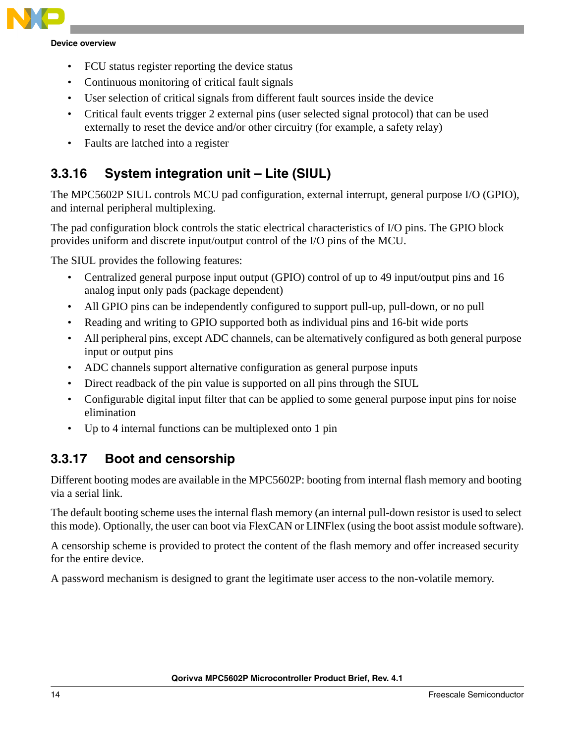

- FCU status register reporting the device status
- Continuous monitoring of critical fault signals
- User selection of critical signals from different fault sources inside the device
- Critical fault events trigger 2 external pins (user selected signal protocol) that can be used externally to reset the device and/or other circuitry (for example, a safety relay)
- Faults are latched into a register

### **3.3.16 System integration unit – Lite (SIUL)**

The MPC5602P SIUL controls MCU pad configuration, external interrupt, general purpose I/O (GPIO), and internal peripheral multiplexing.

The pad configuration block controls the static electrical characteristics of I/O pins. The GPIO block provides uniform and discrete input/output control of the I/O pins of the MCU.

The SIUL provides the following features:

- Centralized general purpose input output (GPIO) control of up to 49 input/output pins and 16 analog input only pads (package dependent)
- All GPIO pins can be independently configured to support pull-up, pull-down, or no pull
- Reading and writing to GPIO supported both as individual pins and 16-bit wide ports
- All peripheral pins, except ADC channels, can be alternatively configured as both general purpose input or output pins
- ADC channels support alternative configuration as general purpose inputs
- Direct readback of the pin value is supported on all pins through the SIUL
- Configurable digital input filter that can be applied to some general purpose input pins for noise elimination
- Up to 4 internal functions can be multiplexed onto 1 pin

#### **3.3.17 Boot and censorship**

Different booting modes are available in the MPC5602P: booting from internal flash memory and booting via a serial link.

The default booting scheme uses the internal flash memory (an internal pull-down resistor is used to select this mode). Optionally, the user can boot via FlexCAN or LINFlex (using the boot assist module software).

A censorship scheme is provided to protect the content of the flash memory and offer increased security for the entire device.

A password mechanism is designed to grant the legitimate user access to the non-volatile memory.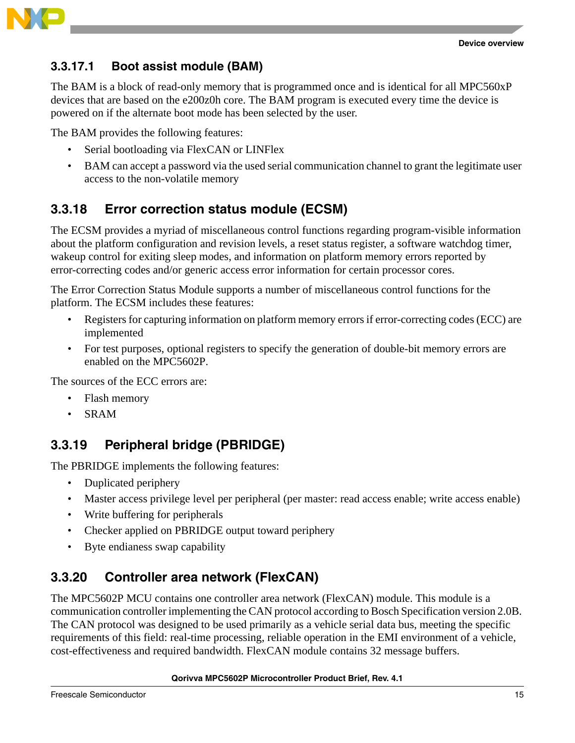



#### **3.3.17.1 Boot assist module (BAM)**

The BAM is a block of read-only memory that is programmed once and is identical for all MPC560xP devices that are based on the e200z0h core. The BAM program is executed every time the device is powered on if the alternate boot mode has been selected by the user.

The BAM provides the following features:

- Serial bootloading via FlexCAN or LINFlex
- BAM can accept a password via the used serial communication channel to grant the legitimate user access to the non-volatile memory

#### **3.3.18 Error correction status module (ECSM)**

The ECSM provides a myriad of miscellaneous control functions regarding program-visible information about the platform configuration and revision levels, a reset status register, a software watchdog timer, wakeup control for exiting sleep modes, and information on platform memory errors reported by error-correcting codes and/or generic access error information for certain processor cores.

The Error Correction Status Module supports a number of miscellaneous control functions for the platform. The ECSM includes these features:

- Registers for capturing information on platform memory errors if error-correcting codes (ECC) are implemented
- For test purposes, optional registers to specify the generation of double-bit memory errors are enabled on the MPC5602P.

The sources of the ECC errors are:

- Flash memory
- SRAM

### **3.3.19 Peripheral bridge (PBRIDGE)**

The PBRIDGE implements the following features:

- Duplicated periphery
- Master access privilege level per peripheral (per master: read access enable; write access enable)
- Write buffering for peripherals
- Checker applied on PBRIDGE output toward periphery
- Byte endianess swap capability

### **3.3.20 Controller area network (FlexCAN)**

The MPC5602P MCU contains one controller area network (FlexCAN) module. This module is a communication controller implementing the CAN protocol according to Bosch Specification version 2.0B. The CAN protocol was designed to be used primarily as a vehicle serial data bus, meeting the specific requirements of this field: real-time processing, reliable operation in the EMI environment of a vehicle, cost-effectiveness and required bandwidth. FlexCAN module contains 32 message buffers.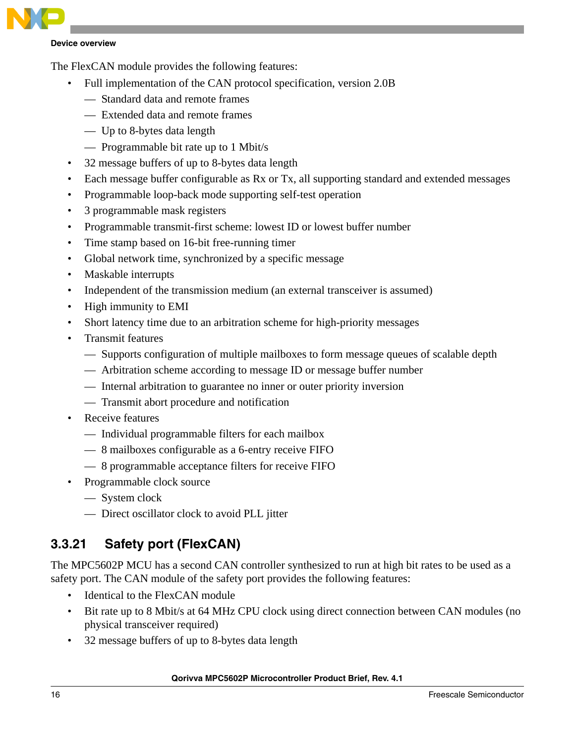

The FlexCAN module provides the following features:

- Full implementation of the CAN protocol specification, version 2.0B
	- Standard data and remote frames
	- Extended data and remote frames
	- Up to 8-bytes data length
	- Programmable bit rate up to 1 Mbit/s
- 32 message buffers of up to 8-bytes data length
- Each message buffer configurable as Rx or Tx, all supporting standard and extended messages
- Programmable loop-back mode supporting self-test operation
- 3 programmable mask registers
- Programmable transmit-first scheme: lowest ID or lowest buffer number
- Time stamp based on 16-bit free-running timer
- Global network time, synchronized by a specific message
- Maskable interrupts
- Independent of the transmission medium (an external transceiver is assumed)
- High immunity to EMI
- Short latency time due to an arbitration scheme for high-priority messages
- Transmit features
	- Supports configuration of multiple mailboxes to form message queues of scalable depth
	- Arbitration scheme according to message ID or message buffer number
	- Internal arbitration to guarantee no inner or outer priority inversion
	- Transmit abort procedure and notification
- Receive features
	- Individual programmable filters for each mailbox
	- 8 mailboxes configurable as a 6-entry receive FIFO
	- 8 programmable acceptance filters for receive FIFO
- Programmable clock source
	- System clock
	- Direct oscillator clock to avoid PLL jitter

### **3.3.21 Safety port (FlexCAN)**

The MPC5602P MCU has a second CAN controller synthesized to run at high bit rates to be used as a safety port. The CAN module of the safety port provides the following features:

- Identical to the FlexCAN module
- Bit rate up to 8 Mbit/s at 64 MHz CPU clock using direct connection between CAN modules (no physical transceiver required)
- 32 message buffers of up to 8-bytes data length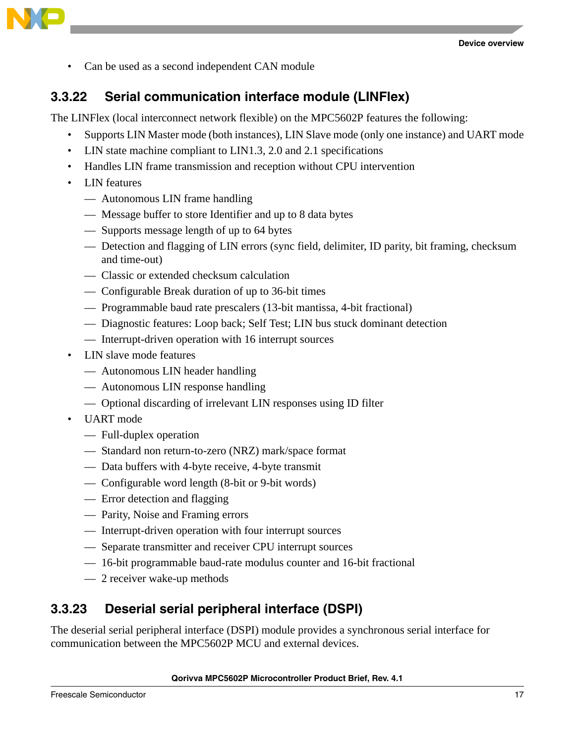

• Can be used as a second independent CAN module

#### **3.3.22 Serial communication interface module (LINFlex)**

The LINFlex (local interconnect network flexible) on the MPC5602P features the following:

- Supports LIN Master mode (both instances), LIN Slave mode (only one instance) and UART mode
- LIN state machine compliant to LIN1.3, 2.0 and 2.1 specifications
- Handles LIN frame transmission and reception without CPU intervention
- LIN features
	- Autonomous LIN frame handling
	- Message buffer to store Identifier and up to 8 data bytes
	- Supports message length of up to 64 bytes
	- Detection and flagging of LIN errors (sync field, delimiter, ID parity, bit framing, checksum and time-out)
	- Classic or extended checksum calculation
	- Configurable Break duration of up to 36-bit times
	- Programmable baud rate prescalers (13-bit mantissa, 4-bit fractional)
	- Diagnostic features: Loop back; Self Test; LIN bus stuck dominant detection
	- Interrupt-driven operation with 16 interrupt sources
- LIN slave mode features
	- Autonomous LIN header handling
	- Autonomous LIN response handling
	- Optional discarding of irrelevant LIN responses using ID filter
- UART mode
	- Full-duplex operation
	- Standard non return-to-zero (NRZ) mark/space format
	- Data buffers with 4-byte receive, 4-byte transmit
	- Configurable word length (8-bit or 9-bit words)
	- Error detection and flagging
	- Parity, Noise and Framing errors
	- Interrupt-driven operation with four interrupt sources
	- Separate transmitter and receiver CPU interrupt sources
	- 16-bit programmable baud-rate modulus counter and 16-bit fractional
	- 2 receiver wake-up methods

#### **3.3.23 Deserial serial peripheral interface (DSPI)**

The deserial serial peripheral interface (DSPI) module provides a synchronous serial interface for communication between the MPC5602P MCU and external devices.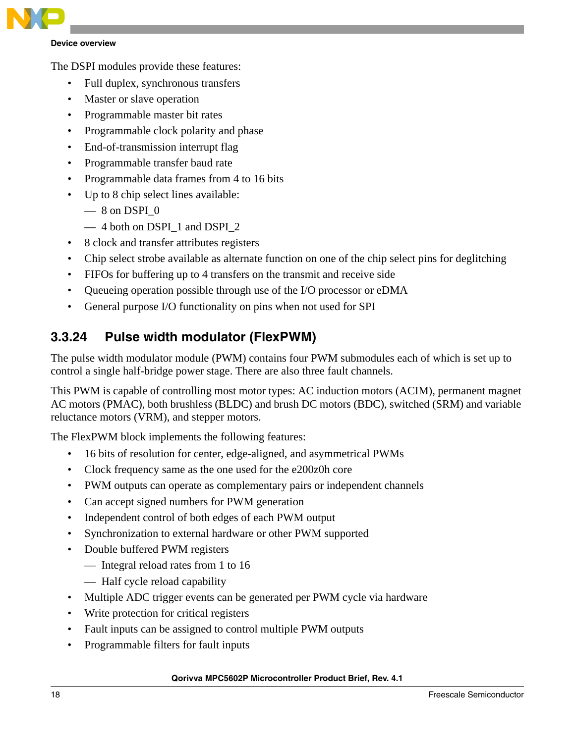

The DSPI modules provide these features:

- Full duplex, synchronous transfers
- Master or slave operation
- Programmable master bit rates
- Programmable clock polarity and phase
- End-of-transmission interrupt flag
- Programmable transfer baud rate
- Programmable data frames from 4 to 16 bits
- Up to 8 chip select lines available:
	- $-8$  on DSPI  $0$
	- 4 both on DSPI\_1 and DSPI\_2
- 8 clock and transfer attributes registers
- Chip select strobe available as alternate function on one of the chip select pins for deglitching
- FIFOs for buffering up to 4 transfers on the transmit and receive side
- Queueing operation possible through use of the I/O processor or eDMA
- General purpose I/O functionality on pins when not used for SPI

#### **3.3.24 Pulse width modulator (FlexPWM)**

The pulse width modulator module (PWM) contains four PWM submodules each of which is set up to control a single half-bridge power stage. There are also three fault channels.

This PWM is capable of controlling most motor types: AC induction motors (ACIM), permanent magnet AC motors (PMAC), both brushless (BLDC) and brush DC motors (BDC), switched (SRM) and variable reluctance motors (VRM), and stepper motors.

The FlexPWM block implements the following features:

- 16 bits of resolution for center, edge-aligned, and asymmetrical PWMs
- Clock frequency same as the one used for the e200z0h core
- PWM outputs can operate as complementary pairs or independent channels
- Can accept signed numbers for PWM generation
- Independent control of both edges of each PWM output
- Synchronization to external hardware or other PWM supported
- Double buffered PWM registers
	- Integral reload rates from 1 to 16
	- Half cycle reload capability
- Multiple ADC trigger events can be generated per PWM cycle via hardware
- Write protection for critical registers
- Fault inputs can be assigned to control multiple PWM outputs
- Programmable filters for fault inputs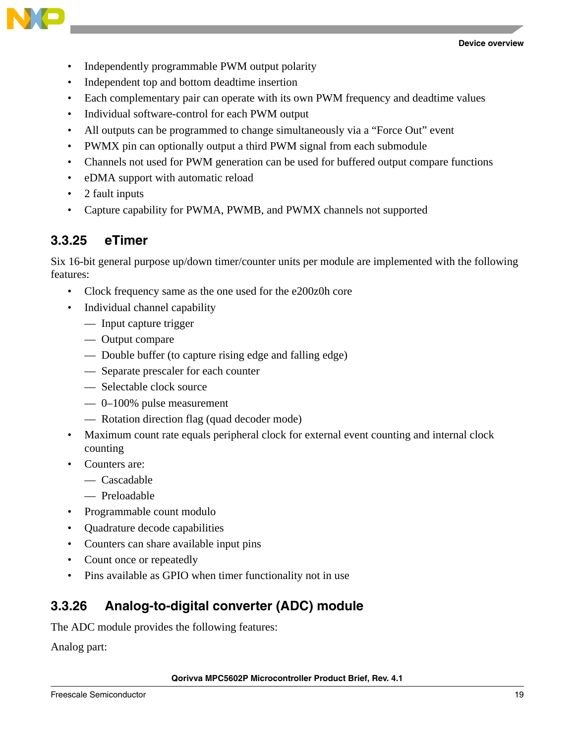



- Independently programmable PWM output polarity
- Independent top and bottom deadtime insertion
- Each complementary pair can operate with its own PWM frequency and deadtime values
- Individual software-control for each PWM output
- All outputs can be programmed to change simultaneously via a "Force Out" event
- PWMX pin can optionally output a third PWM signal from each submodule
- Channels not used for PWM generation can be used for buffered output compare functions
- eDMA support with automatic reload
- 2 fault inputs
- Capture capability for PWMA, PWMB, and PWMX channels not supported

#### **3.3.25 eTimer**

Six 16-bit general purpose up/down timer/counter units per module are implemented with the following features:

- Clock frequency same as the one used for the e200z0h core
- Individual channel capability
	- Input capture trigger
	- Output compare
	- Double buffer (to capture rising edge and falling edge)
	- Separate prescaler for each counter
	- Selectable clock source
	- 0–100% pulse measurement
	- Rotation direction flag (quad decoder mode)
- Maximum count rate equals peripheral clock for external event counting and internal clock counting
- Counters are:
	- Cascadable
	- Preloadable
- Programmable count modulo
- Quadrature decode capabilities
- Counters can share available input pins
- Count once or repeatedly
- Pins available as GPIO when timer functionality not in use

#### **3.3.26 Analog-to-digital converter (ADC) module**

The ADC module provides the following features:

Analog part: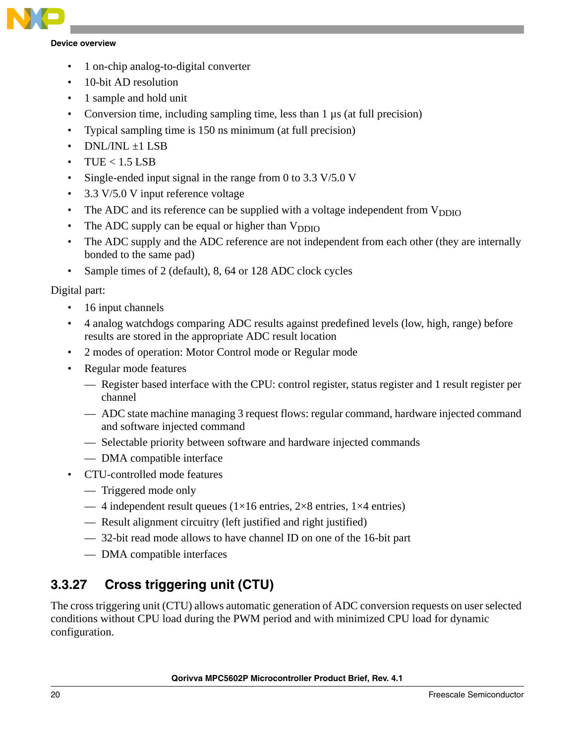

- 1 on-chip analog-to-digital converter
- 10-bit AD resolution
- 1 sample and hold unit
- Conversion time, including sampling time, less than 1 µs (at full precision)
- Typical sampling time is 150 ns minimum (at full precision)
- $DNL/INI + 1LSB$
- $TUE < 1.5$  LSB
- Single-ended input signal in the range from 0 to 3.3 V/5.0 V
- 3.3 V/5.0 V input reference voltage
- The ADC and its reference can be supplied with a voltage independent from  $V_{DDIO}$
- The ADC supply can be equal or higher than  $V_{DDIO}$
- The ADC supply and the ADC reference are not independent from each other (they are internally bonded to the same pad)
- Sample times of 2 (default), 8, 64 or 128 ADC clock cycles

#### Digital part:

- 16 input channels
- 4 analog watchdogs comparing ADC results against predefined levels (low, high, range) before results are stored in the appropriate ADC result location
- 2 modes of operation: Motor Control mode or Regular mode
- Regular mode features
	- Register based interface with the CPU: control register, status register and 1 result register per channel
	- ADC state machine managing 3 request flows: regular command, hardware injected command and software injected command
	- Selectable priority between software and hardware injected commands
	- DMA compatible interface
- CTU-controlled mode features
	- Triggered mode only
	- 4 independent result queues ( $1\times16$  entries,  $2\times8$  entries,  $1\times4$  entries)
	- Result alignment circuitry (left justified and right justified)
	- 32-bit read mode allows to have channel ID on one of the 16-bit part
	- DMA compatible interfaces

### **3.3.27 Cross triggering unit (CTU)**

The cross triggering unit (CTU) allows automatic generation of ADC conversion requests on user selected conditions without CPU load during the PWM period and with minimized CPU load for dynamic configuration.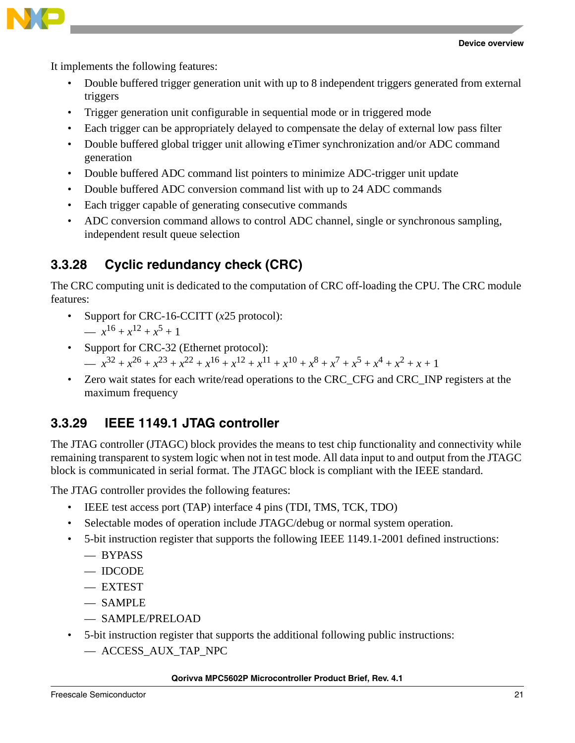

It implements the following features:

- Double buffered trigger generation unit with up to 8 independent triggers generated from external triggers
- Trigger generation unit configurable in sequential mode or in triggered mode
- Each trigger can be appropriately delayed to compensate the delay of external low pass filter
- Double buffered global trigger unit allowing eTimer synchronization and/or ADC command generation
- Double buffered ADC command list pointers to minimize ADC-trigger unit update
- Double buffered ADC conversion command list with up to 24 ADC commands
- Each trigger capable of generating consecutive commands
- ADC conversion command allows to control ADC channel, single or synchronous sampling, independent result queue selection

### **3.3.28 Cyclic redundancy check (CRC)**

The CRC computing unit is dedicated to the computation of CRC off-loading the CPU. The CRC module features:

- Support for CRC-16-CCITT (*x*25 protocol): —  $x^{16} + x^{12} + x^5 + 1$
- Support for CRC-32 (Ethernet protocol): —  $x^{32} + x^{26} + x^{23} + x^{22} + x^{16} + x^{12} + x^{11} + x^{10} + x^8 + x^7 + x^5 + x^4 + x^2 + x + 1$
- Zero wait states for each write/read operations to the CRC\_CFG and CRC\_INP registers at the maximum frequency

### **3.3.29 IEEE 1149.1 JTAG controller**

The JTAG controller (JTAGC) block provides the means to test chip functionality and connectivity while remaining transparent to system logic when not in test mode. All data input to and output from the JTAGC block is communicated in serial format. The JTAGC block is compliant with the IEEE standard.

The JTAG controller provides the following features:

- IEEE test access port (TAP) interface 4 pins (TDI, TMS, TCK, TDO)
- Selectable modes of operation include JTAGC/debug or normal system operation.
- 5-bit instruction register that supports the following IEEE 1149.1-2001 defined instructions:
	- BYPASS
	- IDCODE
	- EXTEST
	- SAMPLE
	- SAMPLE/PRELOAD
- 5-bit instruction register that supports the additional following public instructions:
	- ACCESS\_AUX\_TAP\_NPC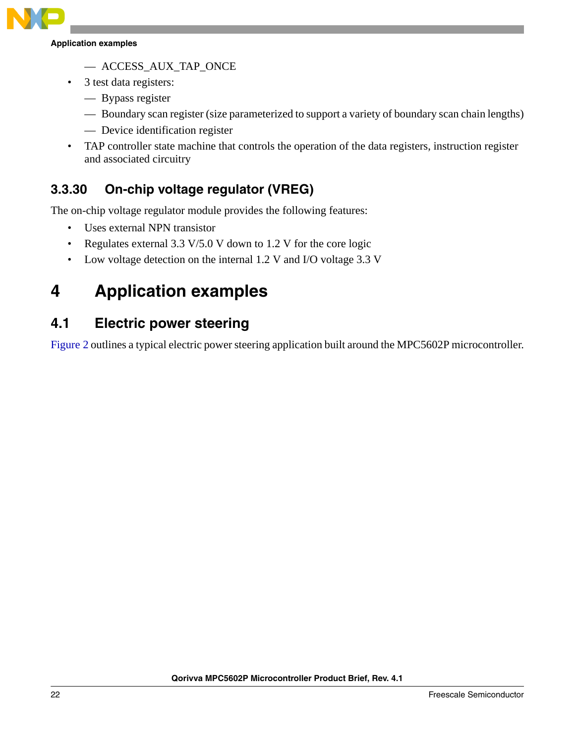

**Application examples**

- ACCESS\_AUX\_TAP\_ONCE
- 3 test data registers:
	- Bypass register
	- Boundary scan register (size parameterized to support a variety of boundary scan chain lengths)
	- Device identification register
- TAP controller state machine that controls the operation of the data registers, instruction register and associated circuitry

### **3.3.30 On-chip voltage regulator (VREG)**

The on-chip voltage regulator module provides the following features:

- Uses external NPN transistor
- Regulates external 3.3 V/5.0 V down to 1.2 V for the core logic
- Low voltage detection on the internal 1.2 V and I/O voltage 3.3 V

## <span id="page-21-0"></span>**4 Application examples**

### <span id="page-21-1"></span>**4.1 Electric power steering**

[Figure 2](#page-22-1) outlines a typical electric power steering application built around the MPC5602P microcontroller.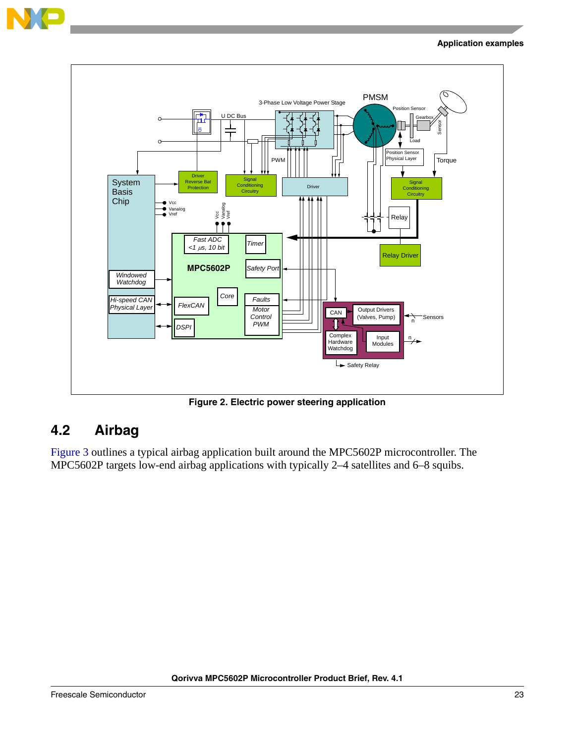

#### **Application examples**



**Figure 2. Electric power steering application**

### <span id="page-22-1"></span><span id="page-22-0"></span>**4.2 Airbag**

[Figure 3](#page-23-2) outlines a typical airbag application built around the MPC5602P microcontroller. The MPC5602P targets low-end airbag applications with typically 2–4 satellites and 6–8 squibs.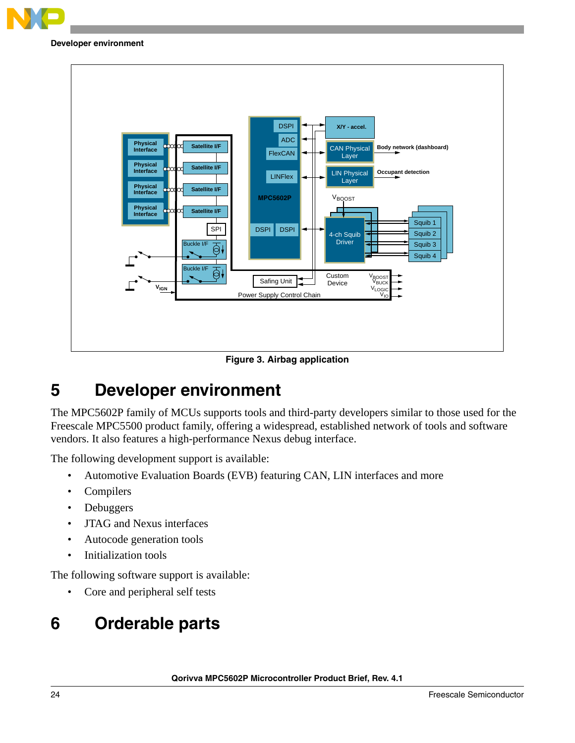

#### **Developer environment**





## <span id="page-23-2"></span><span id="page-23-0"></span>**5 Developer environment**

The MPC5602P family of MCUs supports tools and third-party developers similar to those used for the Freescale MPC5500 product family, offering a widespread, established network of tools and software vendors. It also features a high-performance Nexus debug interface.

The following development support is available:

- Automotive Evaluation Boards (EVB) featuring CAN, LIN interfaces and more
- Compilers
- Debuggers
- JTAG and Nexus interfaces
- Autocode generation tools
- Initialization tools

The following software support is available:

• Core and peripheral self tests

## <span id="page-23-1"></span>**6 Orderable parts**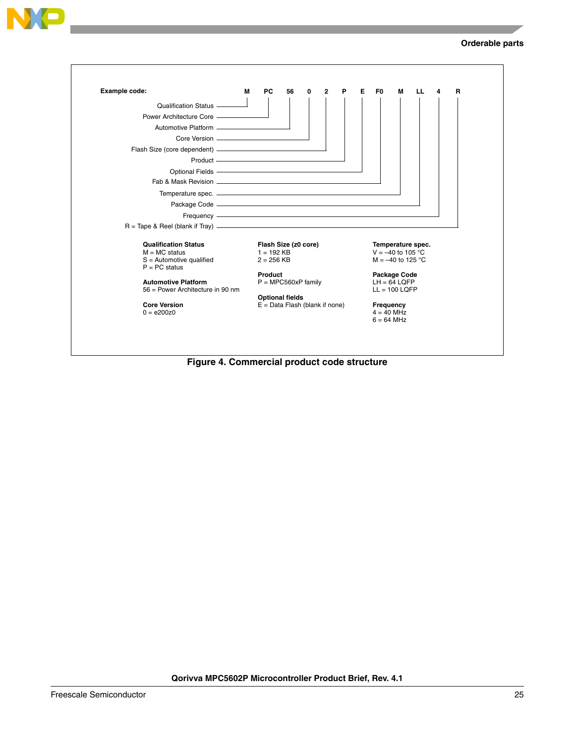



**Figure 4. Commercial product code structure**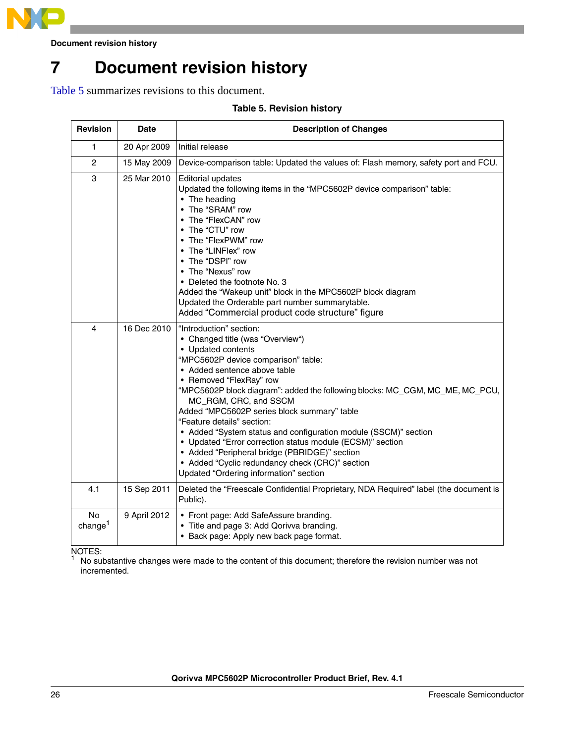

**Document revision history**

## <span id="page-25-0"></span>**7 Document revision history**

<span id="page-25-1"></span>[Table 5](#page-25-1) summarizes revisions to this document.

#### **Table 5. Revision history**

| <b>Revision</b>   | <b>Date</b>  | <b>Description of Changes</b>                                                                                                                                                                                                                                                                                                                                                                                                                                                                                                                                                                                                                           |
|-------------------|--------------|---------------------------------------------------------------------------------------------------------------------------------------------------------------------------------------------------------------------------------------------------------------------------------------------------------------------------------------------------------------------------------------------------------------------------------------------------------------------------------------------------------------------------------------------------------------------------------------------------------------------------------------------------------|
| 1                 | 20 Apr 2009  | Initial release                                                                                                                                                                                                                                                                                                                                                                                                                                                                                                                                                                                                                                         |
| $\overline{c}$    | 15 May 2009  | Device-comparison table: Updated the values of: Flash memory, safety port and FCU.                                                                                                                                                                                                                                                                                                                                                                                                                                                                                                                                                                      |
| 3                 | 25 Mar 2010  | <b>Editorial updates</b><br>Updated the following items in the "MPC5602P device comparison" table:<br>• The heading<br>• The "SRAM" row<br>• The "FlexCAN" row<br>• The "CTU" row<br>• The "FlexPWM" row<br>• The "LINFlex" row<br>• The "DSPI" row<br>• The "Nexus" row<br>• Deleted the footnote No. 3<br>Added the "Wakeup unit" block in the MPC5602P block diagram<br>Updated the Orderable part number summarytable.<br>Added "Commercial product code structure" figure                                                                                                                                                                          |
| 4                 | 16 Dec 2010  | "Introduction" section:<br>• Changed title (was "Overview")<br>• Updated contents<br>"MPC5602P device comparison" table:<br>• Added sentence above table<br>• Removed "FlexRay" row<br>"MPC5602P block diagram": added the following blocks: MC_CGM, MC_ME, MC_PCU,<br>MC_RGM, CRC, and SSCM<br>Added "MPC5602P series block summary" table<br>"Feature details" section:<br>• Added "System status and configuration module (SSCM)" section<br>• Updated "Error correction status module (ECSM)" section<br>• Added "Peripheral bridge (PBRIDGE)" section<br>• Added "Cyclic redundancy check (CRC)" section<br>Updated "Ordering information" section |
| 4.1               | 15 Sep 2011  | Deleted the "Freescale Confidential Proprietary, NDA Required" label (the document is<br>Public).                                                                                                                                                                                                                                                                                                                                                                                                                                                                                                                                                       |
| No.<br>change $1$ | 9 April 2012 | • Front page: Add SafeAssure branding.<br>• Title and page 3: Add Qorivva branding.<br>• Back page: Apply new back page format.                                                                                                                                                                                                                                                                                                                                                                                                                                                                                                                         |

NOTES:<br><sup>1</sup> No substantive changes were made to the content of this document; therefore the revision number was not incremented.